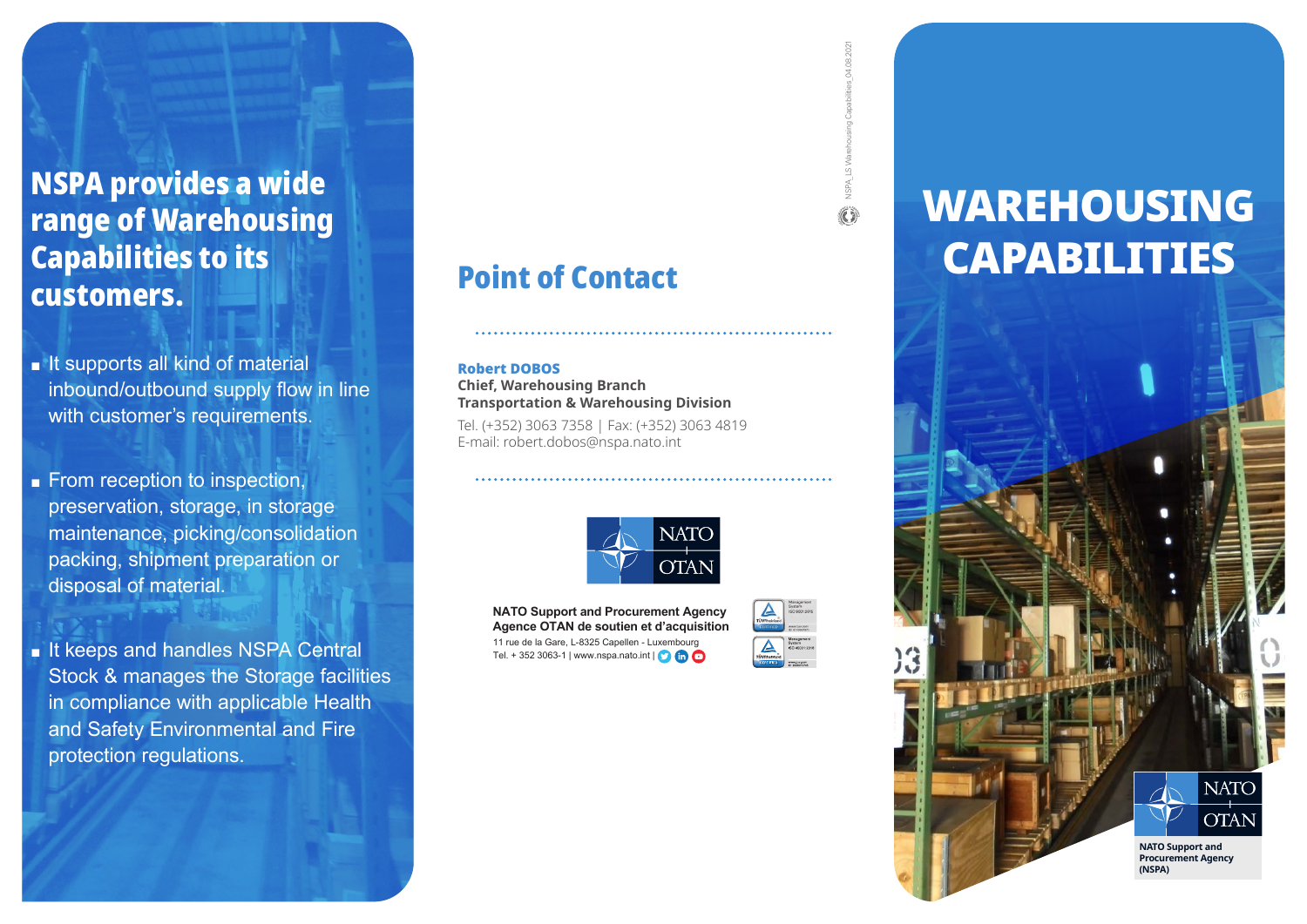### NSPA provides a wide range of Warehousing Capabilities to its customers.

- It supports all kind of material inbound/outbound supply flow in line with customer's requirements.
- From reception to inspection, preservation, storage, in storage maintenance, picking/consolidation packing, shipment preparation or disposal of material.

■ It keeps and handles NSPA Central Stock & manages the Storage facilities in compliance with applicable Health and Safety Environmental and Fire protection regulations.

## Point of Contact

#### Robert DOBOS

**Chief, Warehousing Branch Transportation & Warehousing Division** 

Tel. (+352) 3063 7358 | Fax: (+352) 3063 4819 E-mail: robert.dobos@nspa.nato.int



**NATO Support and Procurement Agency Agence OTAN de soutien et d'acquisition** 11 rue de la Gare, L-8325 Capellen - Luxembourg Tel. + 352 3063-1 | www.nspa.nato.int  $\begin{pmatrix} 0 & \cdots & 0 \\ 0 & \cdots & 0 \end{pmatrix}$ 



NSPA\_LS Warehousing Capabilities\_04.08.2021

# WAREHOUSING CAPABILITIES